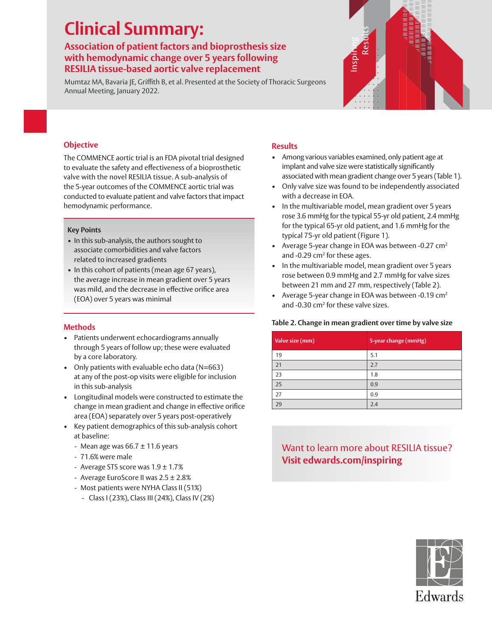# **Clinical Summary:**

## **Association of patient factors and bioprosthesis size with hemodynamic change over 5 years following RESILIA tissue-based aortic valve replacement**

Mumtaz MA, Bavaria JE, Griffith B, et al. Presented at the Society of Thoracic Surgeons Annual Meeting, January 2022.



## **Objective**

The COMMENCE aortic trial is an FDA pivotal trial designed to evaluate the safety and effectiveness of a bioprosthetic valve with the novel RESILIA tissue. A sub-analysis of the 5-year outcomes of the COMMENCE aortic trial was conducted to evaluate patient and valve factors that impact hemodynamic performance.

### **Key Points**

- In this sub-analysis, the authors sought to associate comorbidities and valve factors related to increased gradients
- In this cohort of patients (mean age 67 years), the average increase in mean gradient over 5 years was mild, and the decrease in effective orifice area (EOA) over 5 years was minimal

## **Methods**

- Patients underwent echocardiograms annually through 5 years of follow up; these were evaluated by a core laboratory.
- Only patients with evaluable echo data (N=663) at any of the post-op visits were eligible for inclusion in this sub-analysis
- Longitudinal models were constructed to estimate the change in mean gradient and change in effective orifice area (EOA) separately over 5 years post-operatively
- Key patient demographics of this sub-analysis cohort at baseline:
	- Mean age was  $66.7 \pm 11.6$  years
	- 71.6% were male
	- Average STS score was  $1.9 \pm 1.7\%$
	- Average EuroScore II was 2.5 ± 2.8%
	- Most patients were NYHA Class II (51%)
		- Class I (23%), Class III (24%), Class IV (2%)

## **Results**

- Among various variables examined, only patient age at implant and valve size were statistically significantly associated with mean gradient change over 5 years (Table 1).
- Only valve size was found to be independently associated with a decrease in EOA.
- In the multivariable model, mean gradient over 5 years rose 3.6 mmHg for the typical 55-yr old patient, 2.4 mmHg for the typical 65-yr old patient, and 1.6 mmHg for the typical 75-yr old patient (Figure 1).
- Average 5-year change in EOA was between -0.27 cm<sup>2</sup> and -0.29 cm<sup>2</sup> for these ages.
- In the multivariable model, mean gradient over 5 years rose between 0.9 mmHg and 2.7 mmHg for valve sizes between 21 mm and 27 mm, respectively (Table 2).
- Average 5-year change in EOA was between -0.19 cm2 and -0.30 cm<sup>2</sup> for these valve sizes.

## **Table 2. Change in mean gradient over time by valve size**

| Valve size (mm) | 5-year change (mmHg) |
|-----------------|----------------------|
| 19              | 5.1                  |
| 21              | 2.7                  |
| 23              | 1.8                  |
| 25              | 0.9                  |
| 27              | 0.9                  |
| 29              | 2.4                  |

# Want to learn more about RESILIA tissue? **Visit edwards.com/inspiring**